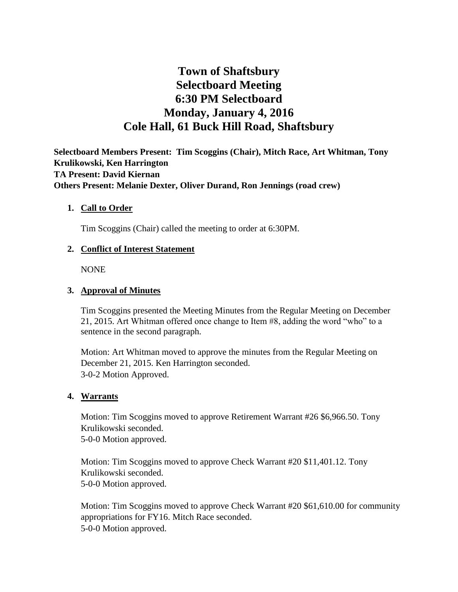# **Town of Shaftsbury Selectboard Meeting 6:30 PM Selectboard Monday, January 4, 2016 Cole Hall, 61 Buck Hill Road, Shaftsbury**

**Selectboard Members Present: Tim Scoggins (Chair), Mitch Race, Art Whitman, Tony Krulikowski, Ken Harrington TA Present: David Kiernan Others Present: Melanie Dexter, Oliver Durand, Ron Jennings (road crew)**

## **1. Call to Order**

Tim Scoggins (Chair) called the meeting to order at 6:30PM.

## **2. Conflict of Interest Statement**

NONE

## **3. Approval of Minutes**

Tim Scoggins presented the Meeting Minutes from the Regular Meeting on December 21, 2015. Art Whitman offered once change to Item #8, adding the word "who" to a sentence in the second paragraph.

Motion: Art Whitman moved to approve the minutes from the Regular Meeting on December 21, 2015. Ken Harrington seconded. 3-0-2 Motion Approved.

#### **4. Warrants**

Motion: Tim Scoggins moved to approve Retirement Warrant #26 \$6,966.50. Tony Krulikowski seconded. 5-0-0 Motion approved.

Motion: Tim Scoggins moved to approve Check Warrant #20 \$11,401.12. Tony Krulikowski seconded. 5-0-0 Motion approved.

Motion: Tim Scoggins moved to approve Check Warrant #20 \$61,610.00 for community appropriations for FY16. Mitch Race seconded. 5-0-0 Motion approved.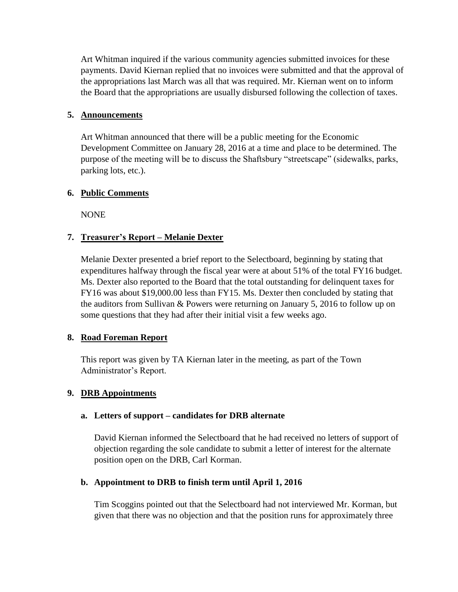Art Whitman inquired if the various community agencies submitted invoices for these payments. David Kiernan replied that no invoices were submitted and that the approval of the appropriations last March was all that was required. Mr. Kiernan went on to inform the Board that the appropriations are usually disbursed following the collection of taxes.

## **5. Announcements**

Art Whitman announced that there will be a public meeting for the Economic Development Committee on January 28, 2016 at a time and place to be determined. The purpose of the meeting will be to discuss the Shaftsbury "streetscape" (sidewalks, parks, parking lots, etc.).

## **6. Public Comments**

NONE

# **7. Treasurer's Report – Melanie Dexter**

Melanie Dexter presented a brief report to the Selectboard, beginning by stating that expenditures halfway through the fiscal year were at about 51% of the total FY16 budget. Ms. Dexter also reported to the Board that the total outstanding for delinquent taxes for FY16 was about \$19,000.00 less than FY15. Ms. Dexter then concluded by stating that the auditors from Sullivan & Powers were returning on January 5, 2016 to follow up on some questions that they had after their initial visit a few weeks ago.

# **8. Road Foreman Report**

This report was given by TA Kiernan later in the meeting, as part of the Town Administrator's Report.

# **9. DRB Appointments**

#### **a. Letters of support – candidates for DRB alternate**

David Kiernan informed the Selectboard that he had received no letters of support of objection regarding the sole candidate to submit a letter of interest for the alternate position open on the DRB, Carl Korman.

# **b. Appointment to DRB to finish term until April 1, 2016**

Tim Scoggins pointed out that the Selectboard had not interviewed Mr. Korman, but given that there was no objection and that the position runs for approximately three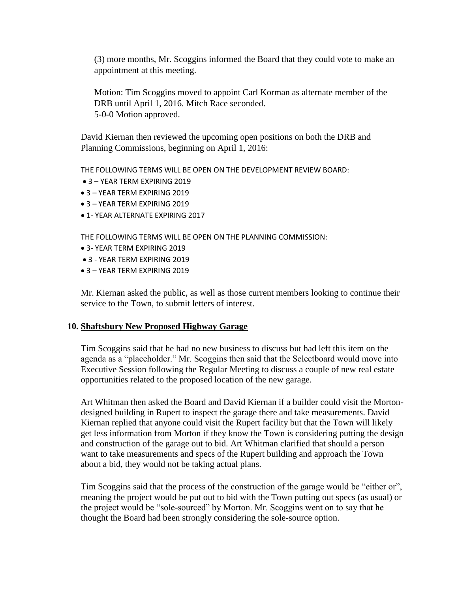(3) more months, Mr. Scoggins informed the Board that they could vote to make an appointment at this meeting.

Motion: Tim Scoggins moved to appoint Carl Korman as alternate member of the DRB until April 1, 2016. Mitch Race seconded. 5-0-0 Motion approved.

David Kiernan then reviewed the upcoming open positions on both the DRB and Planning Commissions, beginning on April 1, 2016:

THE FOLLOWING TERMS WILL BE OPEN ON THE DEVELOPMENT REVIEW BOARD:

- 3 YEAR TERM EXPIRING 2019
- 3 YEAR TERM EXPIRING 2019
- 3 YEAR TERM EXPIRING 2019
- 1- YEAR ALTERNATE EXPIRING 2017

THE FOLLOWING TERMS WILL BE OPEN ON THE PLANNING COMMISSION:

- 3- YEAR TERM EXPIRING 2019
- 3 YEAR TERM EXPIRING 2019
- 3 YEAR TERM EXPIRING 2019

Mr. Kiernan asked the public, as well as those current members looking to continue their service to the Town, to submit letters of interest.

#### **10. Shaftsbury New Proposed Highway Garage**

Tim Scoggins said that he had no new business to discuss but had left this item on the agenda as a "placeholder." Mr. Scoggins then said that the Selectboard would move into Executive Session following the Regular Meeting to discuss a couple of new real estate opportunities related to the proposed location of the new garage.

Art Whitman then asked the Board and David Kiernan if a builder could visit the Mortondesigned building in Rupert to inspect the garage there and take measurements. David Kiernan replied that anyone could visit the Rupert facility but that the Town will likely get less information from Morton if they know the Town is considering putting the design and construction of the garage out to bid. Art Whitman clarified that should a person want to take measurements and specs of the Rupert building and approach the Town about a bid, they would not be taking actual plans.

Tim Scoggins said that the process of the construction of the garage would be "either or", meaning the project would be put out to bid with the Town putting out specs (as usual) or the project would be "sole-sourced" by Morton. Mr. Scoggins went on to say that he thought the Board had been strongly considering the sole-source option.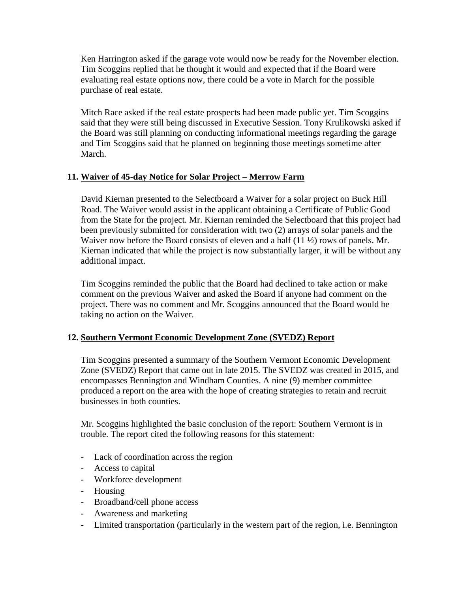Ken Harrington asked if the garage vote would now be ready for the November election. Tim Scoggins replied that he thought it would and expected that if the Board were evaluating real estate options now, there could be a vote in March for the possible purchase of real estate.

Mitch Race asked if the real estate prospects had been made public yet. Tim Scoggins said that they were still being discussed in Executive Session. Tony Krulikowski asked if the Board was still planning on conducting informational meetings regarding the garage and Tim Scoggins said that he planned on beginning those meetings sometime after March.

# **11. Waiver of 45-day Notice for Solar Project – Merrow Farm**

David Kiernan presented to the Selectboard a Waiver for a solar project on Buck Hill Road. The Waiver would assist in the applicant obtaining a Certificate of Public Good from the State for the project. Mr. Kiernan reminded the Selectboard that this project had been previously submitted for consideration with two (2) arrays of solar panels and the Waiver now before the Board consists of eleven and a half (11  $\frac{1}{2}$ ) rows of panels. Mr. Kiernan indicated that while the project is now substantially larger, it will be without any additional impact.

Tim Scoggins reminded the public that the Board had declined to take action or make comment on the previous Waiver and asked the Board if anyone had comment on the project. There was no comment and Mr. Scoggins announced that the Board would be taking no action on the Waiver.

# **12. Southern Vermont Economic Development Zone (SVEDZ) Report**

Tim Scoggins presented a summary of the Southern Vermont Economic Development Zone (SVEDZ) Report that came out in late 2015. The SVEDZ was created in 2015, and encompasses Bennington and Windham Counties. A nine (9) member committee produced a report on the area with the hope of creating strategies to retain and recruit businesses in both counties.

Mr. Scoggins highlighted the basic conclusion of the report: Southern Vermont is in trouble. The report cited the following reasons for this statement:

- Lack of coordination across the region
- Access to capital
- Workforce development
- Housing
- Broadband/cell phone access
- Awareness and marketing
- Limited transportation (particularly in the western part of the region, i.e. Bennington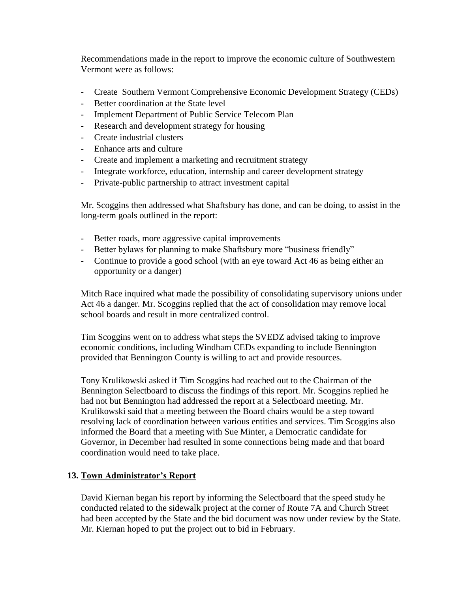Recommendations made in the report to improve the economic culture of Southwestern Vermont were as follows:

- Create Southern Vermont Comprehensive Economic Development Strategy (CEDs)
- Better coordination at the State level
- Implement Department of Public Service Telecom Plan
- Research and development strategy for housing
- Create industrial clusters
- Enhance arts and culture
- Create and implement a marketing and recruitment strategy
- Integrate workforce, education, internship and career development strategy
- Private-public partnership to attract investment capital

Mr. Scoggins then addressed what Shaftsbury has done, and can be doing, to assist in the long-term goals outlined in the report:

- Better roads, more aggressive capital improvements
- Better bylaws for planning to make Shaftsbury more "business friendly"
- Continue to provide a good school (with an eye toward Act 46 as being either an opportunity or a danger)

Mitch Race inquired what made the possibility of consolidating supervisory unions under Act 46 a danger. Mr. Scoggins replied that the act of consolidation may remove local school boards and result in more centralized control.

Tim Scoggins went on to address what steps the SVEDZ advised taking to improve economic conditions, including Windham CEDs expanding to include Bennington provided that Bennington County is willing to act and provide resources.

Tony Krulikowski asked if Tim Scoggins had reached out to the Chairman of the Bennington Selectboard to discuss the findings of this report. Mr. Scoggins replied he had not but Bennington had addressed the report at a Selectboard meeting. Mr. Krulikowski said that a meeting between the Board chairs would be a step toward resolving lack of coordination between various entities and services. Tim Scoggins also informed the Board that a meeting with Sue Minter, a Democratic candidate for Governor, in December had resulted in some connections being made and that board coordination would need to take place.

# **13. Town Administrator's Report**

David Kiernan began his report by informing the Selectboard that the speed study he conducted related to the sidewalk project at the corner of Route 7A and Church Street had been accepted by the State and the bid document was now under review by the State. Mr. Kiernan hoped to put the project out to bid in February.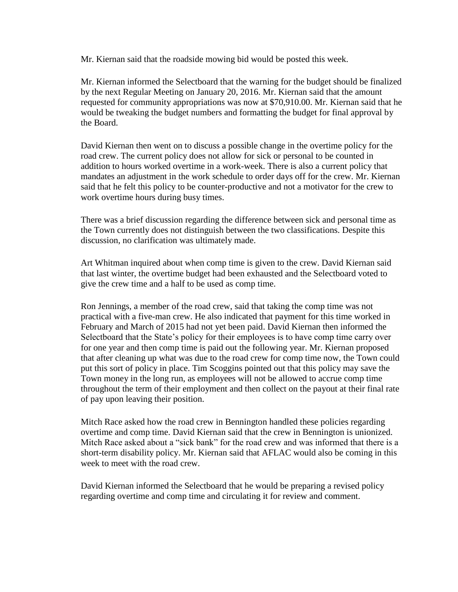Mr. Kiernan said that the roadside mowing bid would be posted this week.

Mr. Kiernan informed the Selectboard that the warning for the budget should be finalized by the next Regular Meeting on January 20, 2016. Mr. Kiernan said that the amount requested for community appropriations was now at \$70,910.00. Mr. Kiernan said that he would be tweaking the budget numbers and formatting the budget for final approval by the Board.

David Kiernan then went on to discuss a possible change in the overtime policy for the road crew. The current policy does not allow for sick or personal to be counted in addition to hours worked overtime in a work-week. There is also a current policy that mandates an adjustment in the work schedule to order days off for the crew. Mr. Kiernan said that he felt this policy to be counter-productive and not a motivator for the crew to work overtime hours during busy times.

There was a brief discussion regarding the difference between sick and personal time as the Town currently does not distinguish between the two classifications. Despite this discussion, no clarification was ultimately made.

Art Whitman inquired about when comp time is given to the crew. David Kiernan said that last winter, the overtime budget had been exhausted and the Selectboard voted to give the crew time and a half to be used as comp time.

Ron Jennings, a member of the road crew, said that taking the comp time was not practical with a five-man crew. He also indicated that payment for this time worked in February and March of 2015 had not yet been paid. David Kiernan then informed the Selectboard that the State's policy for their employees is to have comp time carry over for one year and then comp time is paid out the following year. Mr. Kiernan proposed that after cleaning up what was due to the road crew for comp time now, the Town could put this sort of policy in place. Tim Scoggins pointed out that this policy may save the Town money in the long run, as employees will not be allowed to accrue comp time throughout the term of their employment and then collect on the payout at their final rate of pay upon leaving their position.

Mitch Race asked how the road crew in Bennington handled these policies regarding overtime and comp time. David Kiernan said that the crew in Bennington is unionized. Mitch Race asked about a "sick bank" for the road crew and was informed that there is a short-term disability policy. Mr. Kiernan said that AFLAC would also be coming in this week to meet with the road crew.

David Kiernan informed the Selectboard that he would be preparing a revised policy regarding overtime and comp time and circulating it for review and comment.